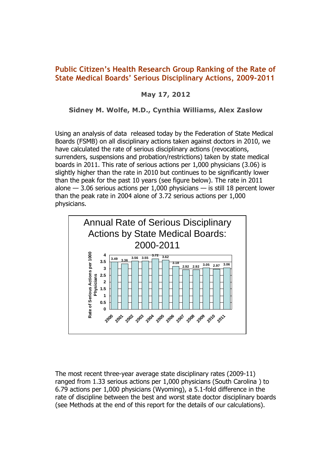# **Public Citizen's Health Research Group Ranking of the Rate of State Medical Boards' Serious Disciplinary Actions, 2009-2011**

## **May 17, 2012**

### **Sidney M. Wolfe, M.D., Cynthia Williams, Alex Zaslow**

Using an analysis of data released today by the Federation of State Medical Boards (FSMB) on all disciplinary actions taken against doctors in 2010, we have calculated the rate of serious disciplinary actions (revocations, surrenders, suspensions and probation/restrictions) taken by state medical boards in 2011. This rate of serious actions per 1,000 physicians (3.06) is slightly higher than the rate in 2010 but continues to be significantly lower than the peak for the past 10 years (see figure below). The rate in 2011 alone — 3.06 serious actions per 1,000 physicians — is still 18 percent lower than the peak rate in 2004 alone of 3.72 serious actions per 1,000 physicians.



The most recent three-year average state disciplinary rates (2009-11) ranged from 1.33 serious actions per 1,000 physicians (South Carolina ) to 6.79 actions per 1,000 physicians (Wyoming), a 5.1-fold difference in the rate of discipline between the best and worst state doctor disciplinary boards (see Methods at the end of this report for the details of our calculations).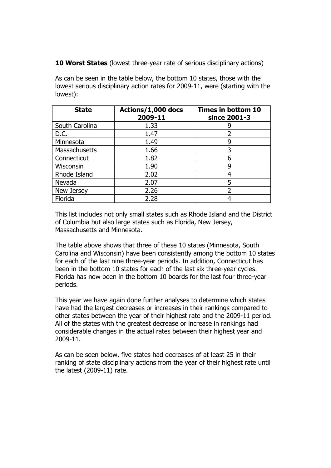**10 Worst States** (lowest three-year rate of serious disciplinary actions)

As can be seen in the table below, the bottom 10 states, those with the lowest serious disciplinary action rates for 2009-11, were (starting with the lowest):

| <b>State</b>         | Actions/1,000 docs<br>2009-11 | Times in bottom 10<br>since 2001-3 |
|----------------------|-------------------------------|------------------------------------|
| South Carolina       | 1.33                          |                                    |
| D.C.                 | 1.47                          |                                    |
| Minnesota            | 1.49                          | 9                                  |
| <b>Massachusetts</b> | 1.66                          | 3                                  |
| Connecticut          | 1.82                          | 6                                  |
| Wisconsin            | 1.90                          | q                                  |
| Rhode Island         | 2.02                          |                                    |
| Nevada               | 2.07                          | 5                                  |
| New Jersey           | 2.26                          |                                    |
| Florida              | 2.28                          |                                    |

This list includes not only small states such as Rhode Island and the District of Columbia but also large states such as Florida, New Jersey, Massachusetts and Minnesota.

The table above shows that three of these 10 states (Minnesota, South Carolina and Wisconsin) have been consistently among the bottom 10 states for each of the last nine three-year periods. In addition, Connecticut has been in the bottom 10 states for each of the last six three-year cycles. Florida has now been in the bottom 10 boards for the last four three-year periods.

This year we have again done further analyses to determine which states have had the largest decreases or increases in their rankings compared to other states between the year of their highest rate and the 2009-11 period. All of the states with the greatest decrease or increase in rankings had considerable changes in the actual rates between their highest year and 2009-11.

As can be seen below, five states had decreases of at least 25 in their ranking of state disciplinary actions from the year of their highest rate until the latest (2009-11) rate.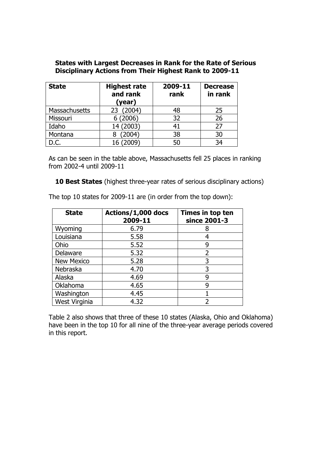### **States with Largest Decreases in Rank for the Rate of Serious Disciplinary Actions from Their Highest Rank to 2009-11**

| <b>State</b>  | <b>Highest rate</b><br>and rank<br>(year) | 2009-11<br>rank | <b>Decrease</b><br>in rank |
|---------------|-------------------------------------------|-----------------|----------------------------|
| Massachusetts | (2004)<br>23                              | 48              | 25                         |
| Missouri      | (2006)                                    | 32              | 26                         |
| Idaho         | (2003)<br>14                              | 41              | 27                         |
| Montana       | (2004)                                    | 38              | 30                         |
| D.C.          | (2009)                                    | 50              | 34                         |

As can be seen in the table above, Massachusetts fell 25 places in ranking from 2002-4 until 2009-11

**10 Best States** (highest three-year rates of serious disciplinary actions)

| <b>State</b>      | Actions/1,000 docs<br>2009-11 | Times in top ten<br>since 2001-3 |
|-------------------|-------------------------------|----------------------------------|
| Wyoming           | 6.79                          |                                  |
| Louisiana         | 5.58                          |                                  |
| Ohio              | 5.52                          | 9                                |
| Delaware          | 5.32                          |                                  |
| <b>New Mexico</b> | 5.28                          |                                  |
| Nebraska          | 4.70                          | 3                                |
| Alaska            | 4.69                          |                                  |
| Oklahoma          | 4.65                          |                                  |
| Washington        | 4.45                          |                                  |
| West Virginia     | 4.32                          |                                  |

The top 10 states for 2009-11 are (in order from the top down):

Table 2 also shows that three of these 10 states (Alaska, Ohio and Oklahoma) have been in the top 10 for all nine of the three-year average periods covered in this report.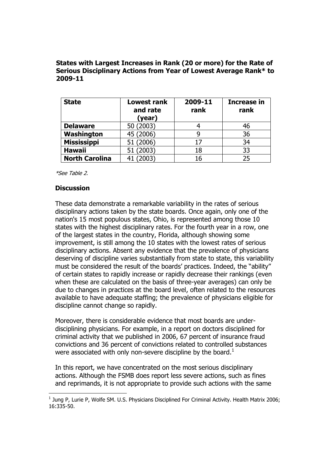#### **States with Largest Increases in Rank (20 or more) for the Rate of Serious Disciplinary Actions from Year of Lowest Average Rank\* to 2009-11**

| <b>State</b>          | Lowest rank<br>and rate<br>(year) | 2009-11<br>rank | Increase in<br>rank |  |  |
|-----------------------|-----------------------------------|-----------------|---------------------|--|--|
| <b>Delaware</b>       | 50 (2003)                         |                 | 46                  |  |  |
| Washington            | 45 (2006)                         |                 | 36                  |  |  |
| <b>Mississippi</b>    | 51 (2006)                         | 17              | 34                  |  |  |
| <b>Hawaii</b>         | 51 (2003)                         | 18              | 33                  |  |  |
| <b>North Carolina</b> | (2003)                            | 16              | 25                  |  |  |

\*See Table 2.

#### **Discussion**

-

These data demonstrate a remarkable variability in the rates of serious disciplinary actions taken by the state boards. Once again, only one of the nation's 15 most populous states, Ohio, is represented among those 10 states with the highest disciplinary rates. For the fourth year in a row, one of the largest states in the country, Florida, although showing some improvement, is still among the 10 states with the lowest rates of serious disciplinary actions. Absent any evidence that the prevalence of physicians deserving of discipline varies substantially from state to state, this variability must be considered the result of the boards' practices. Indeed, the "ability" of certain states to rapidly increase or rapidly decrease their rankings (even when these are calculated on the basis of three-year averages) can only be due to changes in practices at the board level, often related to the resources available to have adequate staffing; the prevalence of physicians eligible for discipline cannot change so rapidly.

Moreover, there is considerable evidence that most boards are underdisciplining physicians. For example, in a report on doctors disciplined for criminal activity that we published in 2006, 67 percent of insurance fraud convictions and 36 percent of convictions related to controlled substances were associated with only non-severe discipline by the board.<sup>1</sup>

In this report, we have concentrated on the most serious disciplinary actions. Although the FSMB does report less severe actions, such as fines and reprimands, it is not appropriate to provide such actions with the same

 $<sup>1</sup>$  Jung P, Lurie P, Wolfe SM. U.S. Physicians Disciplined For Criminal Activity. Health Matrix 2006;</sup>  $16.335 - 50$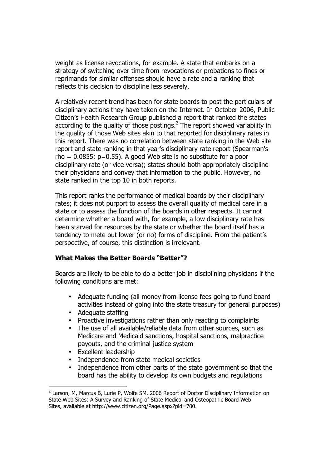weight as license revocations, for example. A state that embarks on a strategy of switching over time from revocations or probations to fines or reprimands for similar offenses should have a rate and a ranking that reflects this decision to discipline less severely.

A relatively recent trend has been for state boards to post the particulars of disciplinary actions they have taken on the Internet. In October 2006, Public Citizen's Health Research Group published a report that ranked the states according to the quality of those postings. $<sup>2</sup>$  The report showed variability in</sup> the quality of those Web sites akin to that reported for disciplinary rates in this report. There was no correlation between state ranking in the Web site report and state ranking in that year's disciplinary rate report (Spearman's  $rho = 0.0855$ ;  $p=0.55$ ). A good Web site is no substitute for a poor disciplinary rate (or vice versa); states should both appropriately discipline their physicians and convey that information to the public. However, no state ranked in the top 10 in both reports.

This report ranks the performance of medical boards by their disciplinary rates; it does not purport to assess the overall quality of medical care in a state or to assess the function of the boards in other respects. It cannot determine whether a board with, for example, a low disciplinary rate has been starved for resources by the state or whether the board itself has a tendency to mete out lower (or no) forms of discipline. From the patient's perspective, of course, this distinction is irrelevant.

#### **What Makes the Better Boards "Better"?**

Boards are likely to be able to do a better job in disciplining physicians if the following conditions are met:

- Adequate funding (all money from license fees going to fund board activities instead of going into the state treasury for general purposes)
- Adequate staffing
- Proactive investigations rather than only reacting to complaints
- The use of all available/reliable data from other sources, such as Medicare and Medicaid sanctions, hospital sanctions, malpractice payouts, and the criminal justice system
- Excellent leadership

-

- Independence from state medical societies
- Independence from other parts of the state government so that the board has the ability to develop its own budgets and regulations

<sup>&</sup>lt;sup>2</sup> Larson, M, Marcus B, Lurie P, Wolfe SM. 2006 Report of Doctor Disciplinary Information on State Web Sites: A Survey and Ranking of State Medical and Osteopathic Board Web Sites, available at http://www.citizen.org/Page.aspx?pid=700.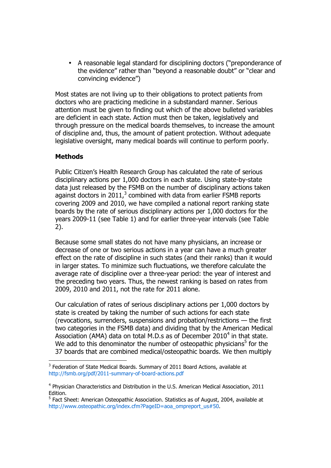• A reasonable legal standard for disciplining doctors ("preponderance of the evidence" rather than "beyond a reasonable doubt" or "clear and convincing evidence")

Most states are not living up to their obligations to protect patients from doctors who are practicing medicine in a substandard manner. Serious attention must be given to finding out which of the above bulleted variables are deficient in each state. Action must then be taken, legislatively and through pressure on the medical boards themselves, to increase the amount of discipline and, thus, the amount of patient protection. Without adequate legislative oversight, many medical boards will continue to perform poorly.

### **Methods**

-

Public Citizen's Health Research Group has calculated the rate of serious disciplinary actions per 1,000 doctors in each state. Using state-by-state data just released by the FSMB on the number of disciplinary actions taken against doctors in 2011, $3$  combined with data from earlier FSMB reports covering 2009 and 2010, we have compiled a national report ranking state boards by the rate of serious disciplinary actions per 1,000 doctors for the years 2009-11 (see Table 1) and for earlier three-year intervals (see Table 2).

Because some small states do not have many physicians, an increase or decrease of one or two serious actions in a year can have a much greater effect on the rate of discipline in such states (and their ranks) than it would in larger states. To minimize such fluctuations, we therefore calculate the average rate of discipline over a three-year period: the year of interest and the preceding two years. Thus, the newest ranking is based on rates from 2009, 2010 and 2011, not the rate for 2011 alone.

Our calculation of rates of serious disciplinary actions per 1,000 doctors by state is created by taking the number of such actions for each state (revocations, surrenders, suspensions and probation/restrictions — the first two categories in the FSMB data) and dividing that by the American Medical Association (AMA) data on total M.D.s as of December 2010<sup>4</sup> in that state. We add to this denominator the number of osteopathic physicians<sup>5</sup> for the 37 boards that are combined medical/osteopathic boards. We then multiply

 $3$  Federation of State Medical Boards. Summary of 2011 Board Actions, available at http://fsmb.org/pdf/2011-summary-of-board-actions.pdf

<sup>&</sup>lt;sup>4</sup> Physician Characteristics and Distribution in the U.S. American Medical Association, 2011 Edition.

<sup>&</sup>lt;sup>5</sup> Fact Sheet: American Osteopathic Association. Statistics as of August, 2004, available at http://www.osteopathic.org/index.cfm?PageID=aoa\_ompreport\_us#50.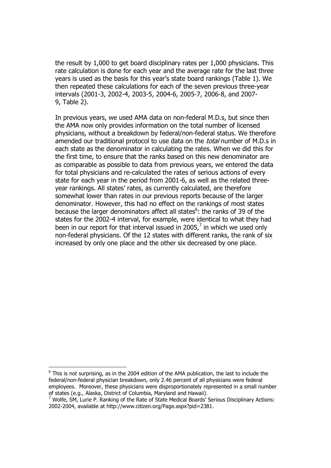the result by 1,000 to get board disciplinary rates per 1,000 physicians. This rate calculation is done for each year and the average rate for the last three years is used as the basis for this year's state board rankings (Table 1). We then repeated these calculations for each of the seven previous three-year intervals (2001-3, 2002-4, 2003-5, 2004-6, 2005-7, 2006-8, and 2007- 9, Table 2).

In previous years, we used AMA data on non-federal M.D.s, but since then the AMA now only provides information on the total number of licensed physicians, without a breakdown by federal/non-federal status. We therefore amended our traditional protocol to use data on the *total* number of M.D.s in each state as the denominator in calculating the rates. When we did this for the first time, to ensure that the ranks based on this new denominator are as comparable as possible to data from previous years, we entered the data for total physicians and re-calculated the rates of serious actions of every state for each year in the period from 2001-6, as well as the related threeyear rankings. All states' rates, as currently calculated, are therefore somewhat lower than rates in our previous reports because of the larger denominator. However, this had no effect on the rankings of most states because the larger denominators affect all states<sup>6</sup>: the ranks of 39 of the states for the 2002-4 interval, for example, were identical to what they had been in our report for that interval issued in 2005, $^7$  in which we used only non-federal physicians. Of the 12 states with different ranks, the rank of six increased by only one place and the other six decreased by one place.

-

 $<sup>6</sup>$  This is not surprising, as in the 2004 edition of the AMA publication, the last to include the</sup> federal/non-federal physician breakdown, only 2.46 percent of all physicians were federal employees. Moreover, these physicians were disproportionately represented in a small number of states (e.g., Alaska, District of Columbia, Maryland and Hawaii).

 $^7$  Wolfe, SM, Lurie P. Ranking of the Rate of State Medical Boards' Serious Disciplinary Actions: 2002-2004, available at http://www.citizen.org/Page.aspx?pid=2381.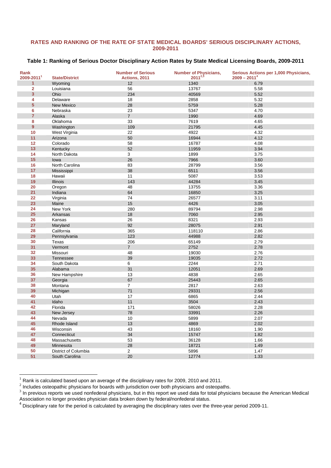#### **RATES AND RANKING OF THE RATE OF STATE MEDICAL BOARDS' SERIOUS DISCIPLINARY ACTIONS, 2009-2011**

#### **Table 1: Ranking of Serious Doctor Disciplinary Action Rates by State Medical Licensing Boards, 2009-2011**

| Rank            |                        | <b>Number of Serious</b> | <b>Number of Physicians,</b> | Serious Actions per 1,000 Physicians, |
|-----------------|------------------------|--------------------------|------------------------------|---------------------------------------|
| 2009-2011       | <b>State/District</b>  | Actions, 2011            | $2011^{2,3}$                 | $2009 - 20114$                        |
| $\mathbf{1}$    | Wyoming                | 12                       | 1340                         | 6.79                                  |
| $\overline{2}$  | Louisiana              | 56                       | 13767                        | 5.58                                  |
| 3               | Ohio                   | 234                      | 40569                        | 5.52                                  |
| 4               | Delaware               | 18                       | 2858                         | 5.32                                  |
| $5\phantom{.0}$ | New Mexico             | 28                       | 5759                         | 5.28                                  |
| 6               | Nebraska               | 23                       | 5347                         | 4.70                                  |
| $\overline{7}$  | Alaska                 | $\overline{7}$           | 1990                         | 4.69                                  |
| 8               | Oklahoma               | 33                       | 7619                         | 4.65                                  |
| $\overline{9}$  | Washington             | 109                      | 21795                        | 4.45                                  |
| 10              | West Virginia          | 22                       | 4922                         | 4.32                                  |
| 11              | Arizona                | 50                       | 16944                        | 4.12                                  |
| 12              | Colorado               | 58                       | 16787                        | 4.08                                  |
| 13              | Kentucky               | 52                       | 11959                        | 3.94                                  |
| 14              | North Dakota           | 3                        | 1899                         | 3.75                                  |
| 15              | lowa                   | 26                       | 7966                         | 3.60                                  |
| 16              | North Carolina         | 83                       | 28799                        | 3.56                                  |
| 17              | Mississippi            | 38                       | 6511                         | 3.56                                  |
| 18              | Hawaii                 | 11                       | 5087                         | 3.53                                  |
| 19              | <b>Illinois</b>        | 143                      | 44284                        | 3.45                                  |
| 20              | Oregon                 | 48                       | 13755                        | 3.36                                  |
| 21              | Indiana                | 64                       | 16850                        | 3.25                                  |
| 22              | Virginia               | 74                       | 26577                        | 3.11                                  |
| 23              | Maine                  | 15                       | 4426                         | 3.05                                  |
| 24              | New York               | 280                      | 89794                        | 2.98                                  |
| 25              | Arkansas               | 18                       | 7060                         | 2.95                                  |
| 26              | Kansas                 | 26                       | 8321                         | 2.93                                  |
| 27              | Maryland               | 92                       | 28075                        | 2.91                                  |
| 28              | California             | 365                      | 118110                       | 2.86                                  |
| 29              | Pennsylvania           | 123                      | 44988                        | 2.82                                  |
| 30              | Texas                  | 206                      | 65149                        | 2.79                                  |
| 31              | Vermont                | $\overline{7}$           | 2752                         | 2.78                                  |
| 32              | Missouri               | 48                       | 19030                        | 2.76                                  |
| 33              | <b>Tennessee</b>       | 39                       | 19035                        | 2.72                                  |
| 34              | South Dakota           | 6                        | 2244                         | 2.71                                  |
| 35              | Alabama                | 31                       | 12051                        | 2.69                                  |
| 36              | New Hampshire          | 13                       | 4838                         | 2.65                                  |
| 37              | Georgia                | 67                       | 25443                        | 2.65                                  |
| 38              | Montana                | $\overline{7}$           | 2817                         | 2.63                                  |
| 39              | Michigan               | 71                       | 29331                        | 2.56                                  |
| 40              | Utah                   | 17                       | 6865                         | 2.44                                  |
| 41              | Idaho                  | 11                       | 3504                         | 2.43                                  |
| 42              | Florida                | 171                      | 58026                        | 2.28                                  |
| 43              | New Jersey             | 78                       | 33991                        | 2.26                                  |
| 44              |                        | 10                       | 5899                         | 2.07                                  |
| 45              | Nevada<br>Rhode Island | 13                       | 4869                         | 2.02                                  |
| 46              | Wisconsin              | 43                       | 18160                        | 1.90                                  |
| 47              | Connecticut            | 34                       | 15747                        | 1.82                                  |
| 48              | Massachusetts          | 53                       | 36128                        | 1.66                                  |
| 49              | Minnesota              | 28                       | 18721                        | 1.49                                  |
| 50              | District of Columbia   | $\overline{2}$           | 5896                         | 1.47                                  |
| 51              | South Carolina         | 20                       | 12774                        | 1.33                                  |
|                 |                        |                          |                              |                                       |

Rank is calculated based upon an average of the disciplinary rates for 2009, 2010 and 2011.

l

 $^2$  Includes osteopathic physicians for boards with jurisdiction over both physicians and osteopaths.

 In previous reports we used nonfederal physicians, but in this report we used data for total physicians because the American Medical Association no longer provides physician data broken down by federal/nonfederal status.

Disciplinary rate for the period is calculated by averaging the disciplinary rates over the three-year period 2009-11.